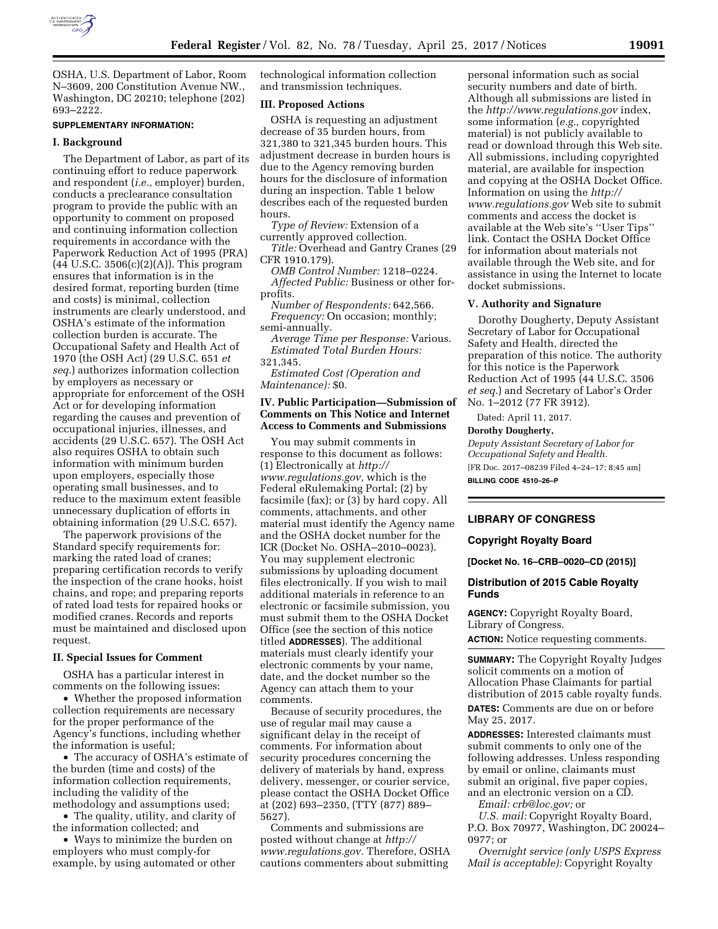

OSHA, U.S. Department of Labor, Room N–3609, 200 Constitution Avenue NW., Washington, DC 20210; telephone (202) 693–2222.

# **SUPPLEMENTARY INFORMATION:**

# **I. Background**

The Department of Labor, as part of its continuing effort to reduce paperwork and respondent (*i.e.,* employer) burden, conducts a preclearance consultation program to provide the public with an opportunity to comment on proposed and continuing information collection requirements in accordance with the Paperwork Reduction Act of 1995 (PRA)  $(44 \text{ U.S.C. } 3506(c)(2)(A))$ . This program ensures that information is in the desired format, reporting burden (time and costs) is minimal, collection instruments are clearly understood, and OSHA's estimate of the information collection burden is accurate. The Occupational Safety and Health Act of 1970 (the OSH Act) (29 U.S.C. 651 *et seq.*) authorizes information collection by employers as necessary or appropriate for enforcement of the OSH Act or for developing information regarding the causes and prevention of occupational injuries, illnesses, and accidents (29 U.S.C. 657). The OSH Act also requires OSHA to obtain such information with minimum burden upon employers, especially those operating small businesses, and to reduce to the maximum extent feasible unnecessary duplication of efforts in obtaining information (29 U.S.C. 657).

The paperwork provisions of the Standard specify requirements for: marking the rated load of cranes; preparing certification records to verify the inspection of the crane hooks, hoist chains, and rope; and preparing reports of rated load tests for repaired hooks or modified cranes. Records and reports must be maintained and disclosed upon request.

#### **II. Special Issues for Comment**

OSHA has a particular interest in comments on the following issues:

• Whether the proposed information collection requirements are necessary for the proper performance of the Agency's functions, including whether the information is useful;

• The accuracy of OSHA's estimate of the burden (time and costs) of the information collection requirements, including the validity of the methodology and assumptions used;

• The quality, utility, and clarity of

the information collected; and • Ways to minimize the burden on

employers who must comply-for example, by using automated or other technological information collection and transmission techniques.

# **III. Proposed Actions**

OSHA is requesting an adjustment decrease of 35 burden hours, from 321,380 to 321,345 burden hours. This adjustment decrease in burden hours is due to the Agency removing burden hours for the disclosure of information during an inspection. Table 1 below describes each of the requested burden hours.

*Type of Review:* Extension of a currently approved collection.

*Title:* Overhead and Gantry Cranes (29 CFR 1910.179).

*OMB Control Number:* 1218–0224. *Affected Public:* Business or other forprofits.

*Number of Respondents:* 642,566. *Frequency:* On occasion; monthly; semi-annually.

*Average Time per Response:* Various. *Estimated Total Burden Hours:*  321,345.

*Estimated Cost (Operation and Maintenance):* \$0.

# **IV. Public Participation—Submission of Comments on This Notice and Internet Access to Comments and Submissions**

You may submit comments in response to this document as follows: (1) Electronically at *[http://](http://www.regulations.gov)  [www.regulations.gov,](http://www.regulations.gov)* which is the Federal eRulemaking Portal; (2) by facsimile (fax); or (3) by hard copy. All comments, attachments, and other material must identify the Agency name and the OSHA docket number for the ICR (Docket No. OSHA–2010–0023). You may supplement electronic submissions by uploading document files electronically. If you wish to mail additional materials in reference to an electronic or facsimile submission, you must submit them to the OSHA Docket Office (see the section of this notice titled **ADDRESSES**). The additional materials must clearly identify your electronic comments by your name, date, and the docket number so the Agency can attach them to your comments.

Because of security procedures, the use of regular mail may cause a significant delay in the receipt of comments. For information about security procedures concerning the delivery of materials by hand, express delivery, messenger, or courier service, please contact the OSHA Docket Office at (202) 693–2350, (TTY (877) 889– 5627).

Comments and submissions are posted without change at *[http://](http://www.regulations.gov)  [www.regulations.gov.](http://www.regulations.gov)* Therefore, OSHA cautions commenters about submitting

personal information such as social security numbers and date of birth. Although all submissions are listed in the *<http://www.regulations.gov>*index, some information (*e.g.,* copyrighted material) is not publicly available to read or download through this Web site. All submissions, including copyrighted material, are available for inspection and copying at the OSHA Docket Office. Information on using the *[http://](http://www.regulations.gov) [www.regulations.gov](http://www.regulations.gov)* Web site to submit comments and access the docket is available at the Web site's ''User Tips'' link. Contact the OSHA Docket Office for information about materials not available through the Web site, and for assistance in using the Internet to locate docket submissions.

### **V. Authority and Signature**

Dorothy Dougherty, Deputy Assistant Secretary of Labor for Occupational Safety and Health, directed the preparation of this notice. The authority for this notice is the Paperwork Reduction Act of 1995 (44 U.S.C. 3506 *et seq.*) and Secretary of Labor's Order No. 1–2012 (77 FR 3912).

Dated: April 11, 2017.

# **Dorothy Dougherty,**

*Deputy Assistant Secretary of Labor for Occupational Safety and Health.*  [FR Doc. 2017–08239 Filed 4–24–17; 8:45 am]

**BILLING CODE 4510–26–P** 

# **LIBRARY OF CONGRESS**

# **Copyright Royalty Board**

**[Docket No. 16–CRB–0020–CD (2015)]** 

# **Distribution of 2015 Cable Royalty Funds**

**AGENCY:** Copyright Royalty Board, Library of Congress.

**ACTION:** Notice requesting comments.

**SUMMARY:** The Copyright Royalty Judges solicit comments on a motion of Allocation Phase Claimants for partial distribution of 2015 cable royalty funds.

**DATES:** Comments are due on or before May 25, 2017.

**ADDRESSES:** Interested claimants must submit comments to only one of the following addresses. Unless responding by email or online, claimants must submit an original, five paper copies, and an electronic version on a CD.

*Email: [crb@loc.gov;](mailto:crb@loc.gov)* or

*U.S. mail:* Copyright Royalty Board, P.O. Box 70977, Washington, DC 20024– 0977; or

*Overnight service (only USPS Express Mail is acceptable):* Copyright Royalty